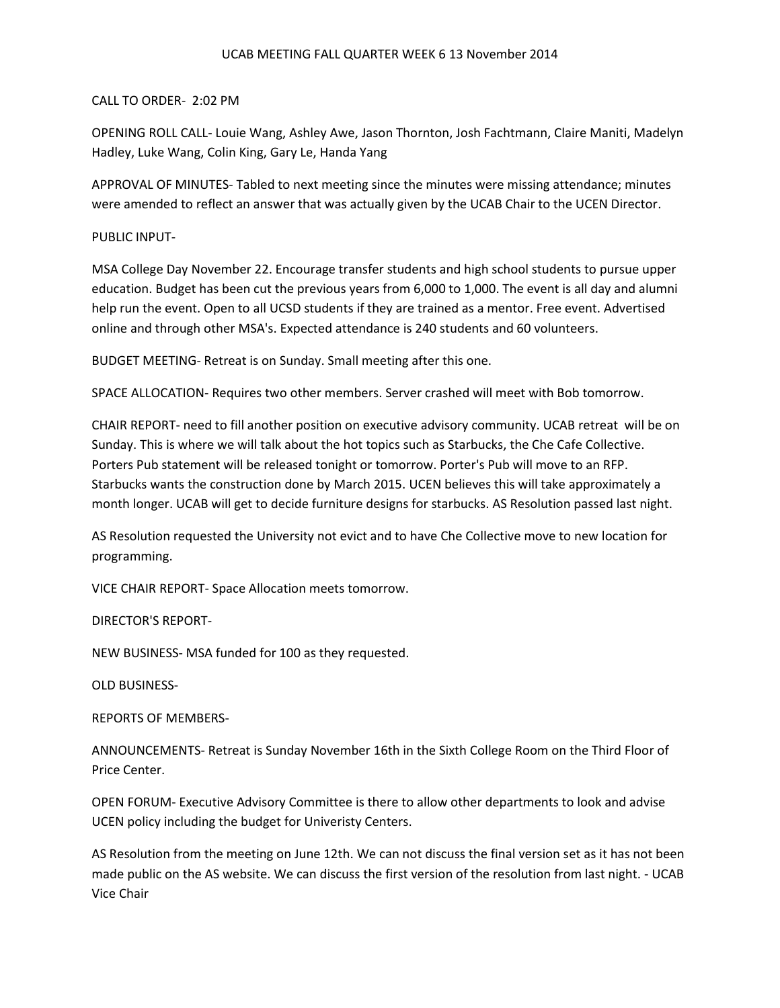## UCAB MEETING FALL QUARTER WEEK 6 13 November 2014

## CALL TO ORDER- 2:02 PM

OPENING ROLL CALL- Louie Wang, Ashley Awe, Jason Thornton, Josh Fachtmann, Claire Maniti, Madelyn Hadley, Luke Wang, Colin King, Gary Le, Handa Yang

APPROVAL OF MINUTES- Tabled to next meeting since the minutes were missing attendance; minutes were amended to reflect an answer that was actually given by the UCAB Chair to the UCEN Director.

## PUBLIC INPUT-

MSA College Day November 22. Encourage transfer students and high school students to pursue upper education. Budget has been cut the previous years from 6,000 to 1,000. The event is all day and alumni help run the event. Open to all UCSD students if they are trained as a mentor. Free event. Advertised online and through other MSA's. Expected attendance is 240 students and 60 volunteers.

BUDGET MEETING- Retreat is on Sunday. Small meeting after this one.

SPACE ALLOCATION- Requires two other members. Server crashed will meet with Bob tomorrow.

CHAIR REPORT- need to fill another position on executive advisory community. UCAB retreat will be on Sunday. This is where we will talk about the hot topics such as Starbucks, the Che Cafe Collective. Porters Pub statement will be released tonight or tomorrow. Porter's Pub will move to an RFP. Starbucks wants the construction done by March 2015. UCEN believes this will take approximately a month longer. UCAB will get to decide furniture designs for starbucks. AS Resolution passed last night.

AS Resolution requested the University not evict and to have Che Collective move to new location for programming.

VICE CHAIR REPORT- Space Allocation meets tomorrow.

DIRECTOR'S REPORT-

NEW BUSINESS- MSA funded for 100 as they requested.

OLD BUSINESS-

REPORTS OF MEMBERS-

ANNOUNCEMENTS- Retreat is Sunday November 16th in the Sixth College Room on the Third Floor of Price Center.

OPEN FORUM- Executive Advisory Committee is there to allow other departments to look and advise UCEN policy including the budget for Univeristy Centers.

AS Resolution from the meeting on June 12th. We can not discuss the final version set as it has not been made public on the AS website. We can discuss the first version of the resolution from last night. - UCAB Vice Chair